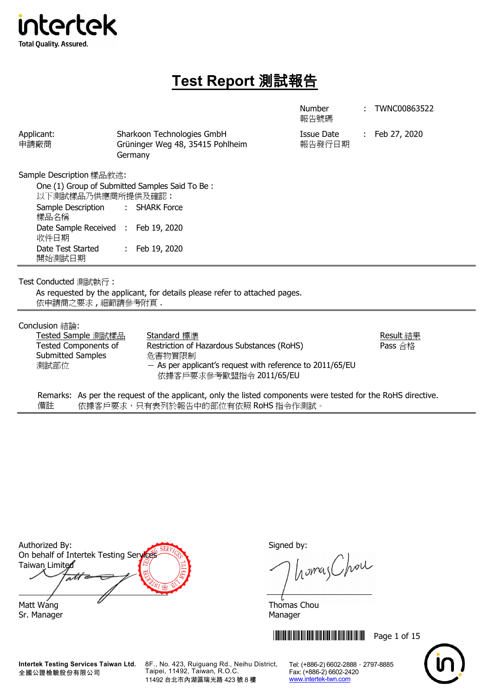

# **Test Report** 測試報告

Number

: TWNC00863522

|                                                                                                   |                             |                                                                                                  | 報告號碼                 |                |
|---------------------------------------------------------------------------------------------------|-----------------------------|--------------------------------------------------------------------------------------------------|----------------------|----------------|
| Applicant:<br>申請廠商                                                                                | Germany                     | Sharkoon Technologies GmbH<br>Grüninger Weg 48, 35415 Pohlheim                                   | Issue Date<br>報告發行日期 | : Feb 27, 2020 |
| Sample Description 樣品敘述:                                                                          |                             |                                                                                                  |                      |                |
| One (1) Group of Submitted Samples Said To Be:<br>以下測試樣品乃供應商所提供及確認:<br>Sample Description<br>樣品名稱 | $\mathcal{L}^{\mathcal{L}}$ | <b>SHARK Force</b>                                                                               |                      |                |
| Date Sample Received : Feb 19, 2020<br>收件日期                                                       |                             |                                                                                                  |                      |                |
| Date Test Started<br>開始測試日期                                                                       |                             | : Feb 19, 2020                                                                                   |                      |                |
| Test Conducted 測試執行:                                                                              |                             |                                                                                                  |                      |                |
| 依申請商之要求,細節請參考附頁.                                                                                  |                             | As requested by the applicant, for details please refer to attached pages.                       |                      |                |
| Conclusion 結論:                                                                                    |                             |                                                                                                  |                      |                |
| Tested Sample 測試樣品                                                                                |                             | Standard 標準                                                                                      |                      | Result 結果      |
| <b>Tested Components of</b>                                                                       |                             | Restriction of Hazardous Substances (RoHS)                                                       |                      | Pass 合格        |
| Submitted Samples<br>測試部位                                                                         |                             | 危害物質限制<br>$-$ As per applicant's request with reference to 2011/65/EU<br>依據客戶要求參考歐盟指令 2011/65/EU |                      |                |
|                                                                                                   |                             | التوازيع التاكل التاليا التاريخ التاريخ التاريخ المالية والتقاطير                                |                      |                |

Remarks: As per the request of the applicant, only the listed components were tested for the RoHS directive. 備註 依據客戶要求,只有表列於報告中的部位有依照 RoHS 指令作測試。

Authorized By: Signed by: On behalf of Intertek Testing Services Taiwan Limited att Matt Wang **Thomas Chou** Sr. Manager Manager Manager Manager Manager

**Intertek Testing Services Taiwan Ltd.** 全國公證檢驗股份有限公司

8F., No. 423, Ruiguang Rd., Neihu District, Taipei, 11492, Taiwan, R.O.C. 11492 台北市內湖區瑞光路 423 號 8 樓

homes Chou

\*THJ0863522\* Page 1 of 15

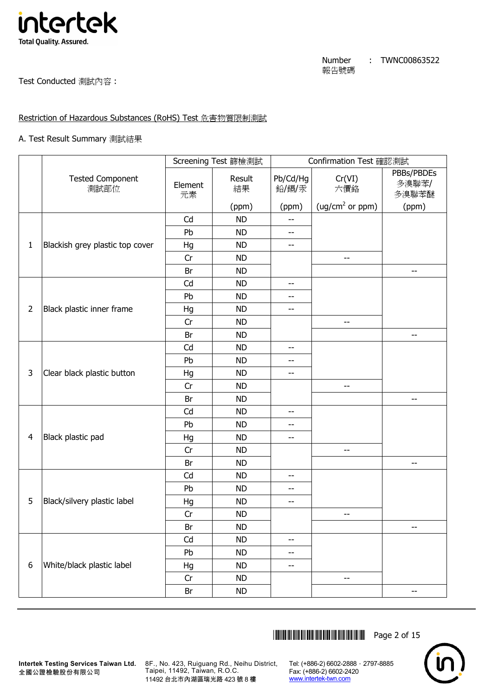

Test Conducted 測試內容 :

# Restriction of Hazardous Substances (RoHS) Test 危害物質限制測試

## A. Test Result Summary 測試結果

|                |                                 |               | Screening Test 篩檢測試 |                          | Confirmation Test 確認測試      |                              |
|----------------|---------------------------------|---------------|---------------------|--------------------------|-----------------------------|------------------------------|
|                | <b>Tested Component</b><br>測試部位 | Element<br>元素 | Result<br>結果        | Pb/Cd/Hg<br>鉛/鎘/汞        | Cr(VI)<br>六價鉻               | PBBs/PBDEs<br>多溴聯苯/<br>多溴聯苯醚 |
|                |                                 |               | (ppm)               | (ppm)                    | (ug/cm <sup>2</sup> or ppm) | (ppm)                        |
|                |                                 | Cd            | <b>ND</b>           | --                       |                             |                              |
|                |                                 | Pb            | <b>ND</b>           | $-$                      |                             |                              |
| 1              | Blackish grey plastic top cover | Hg            | <b>ND</b>           | $\overline{\phantom{m}}$ |                             |                              |
|                |                                 | Cr            | <b>ND</b>           |                          | $-$                         |                              |
|                |                                 | Br            | <b>ND</b>           |                          |                             | --                           |
|                |                                 | Cd            | <b>ND</b>           | --                       |                             |                              |
|                |                                 | Pb            | <b>ND</b>           | $-$                      |                             |                              |
| $\overline{2}$ | Black plastic inner frame       | Hg            | <b>ND</b>           | --                       |                             |                              |
|                |                                 | Cr            | <b>ND</b>           |                          | $-$                         |                              |
|                |                                 | Br            | <b>ND</b>           |                          |                             | $-$                          |
|                |                                 | Cd            | <b>ND</b>           | --                       |                             |                              |
|                |                                 | Pb            | <b>ND</b>           | --                       |                             |                              |
| 3              | Clear black plastic button      | Hg            | <b>ND</b>           | --                       |                             |                              |
|                |                                 | Cr            | <b>ND</b>           |                          | --                          |                              |
|                |                                 | Br            | <b>ND</b>           |                          |                             | --                           |
|                |                                 | Cd            | <b>ND</b>           | --                       |                             |                              |
|                |                                 | Pb            | <b>ND</b>           | --                       |                             |                              |
| $\overline{4}$ | Black plastic pad               | Hg            | <b>ND</b>           | --                       |                             |                              |
|                |                                 | Cr            | <b>ND</b>           |                          | --                          |                              |
|                |                                 | Br            | <b>ND</b>           |                          |                             | $-$                          |
|                |                                 | Cd            | <b>ND</b>           | $-$                      |                             |                              |
|                |                                 | Pb            | <b>ND</b>           | --                       |                             |                              |
| 5              | Black/silvery plastic label     | Hg            | <b>ND</b>           | --                       |                             |                              |
|                |                                 | Cr            | <b>ND</b>           |                          | --                          |                              |
|                |                                 | Br            | <b>ND</b>           |                          |                             | $-\!$                        |
|                |                                 | Cd            | <b>ND</b>           | --                       |                             |                              |
|                |                                 | Pb            | <b>ND</b>           | --                       |                             |                              |
| 6              | White/black plastic label       | Hg            | <b>ND</b>           | --                       |                             |                              |
|                |                                 | Cr            | <b>ND</b>           |                          | --                          |                              |
|                |                                 | Br            | <b>ND</b>           |                          |                             | --                           |

\*THJ0863522\* Page 2 of 15



**Intertek Testing Services Taiwan Ltd.** 8F., No. 423, Ruiguang Rd., Neihu District, Taipei, 11492, Taiwan, R.O.C. 11492 台北市內湖區瑞光路 423 號 8 樓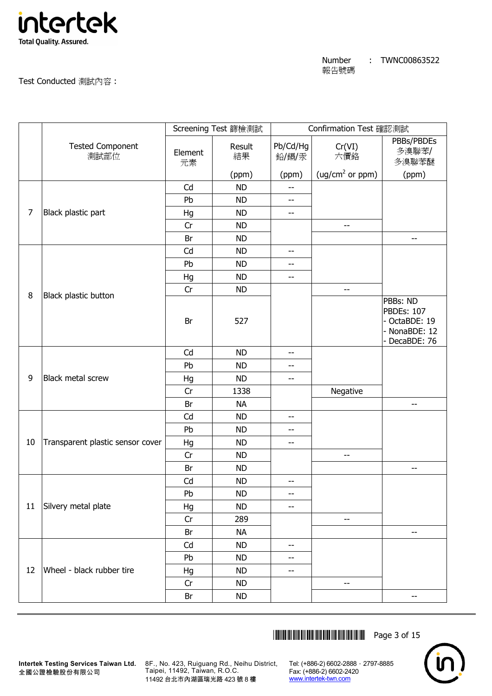

Test Conducted 測試內容 :

|        |                                  |               | Screening Test 篩檢測試 |                          | Confirmation Test 確認測試      |                                                                            |
|--------|----------------------------------|---------------|---------------------|--------------------------|-----------------------------|----------------------------------------------------------------------------|
|        | <b>Tested Component</b><br>測試部位  | Element<br>元素 | Result<br>結果        | Pb/Cd/Hg<br>鉛/鎘/汞        | Cr(VI)<br>六價鉻               | PBBs/PBDEs<br>多溴聯苯/<br>多溴聯苯醚                                               |
|        |                                  |               | (ppm)               | (ppm)                    | (ug/cm <sup>2</sup> or ppm) | (ppm)                                                                      |
|        |                                  | Cd            | <b>ND</b>           | --                       |                             |                                                                            |
|        |                                  | Pb            | <b>ND</b>           | $-$                      |                             |                                                                            |
| 7      | Black plastic part               | Hg            | <b>ND</b>           | $\overline{\phantom{m}}$ |                             |                                                                            |
|        |                                  | Cr            | <b>ND</b>           |                          | $-$                         |                                                                            |
|        |                                  | Br            | <b>ND</b>           |                          |                             | --                                                                         |
|        |                                  | Cd            | <b>ND</b>           | --                       |                             |                                                                            |
|        |                                  | Pb            | <b>ND</b>           | --                       |                             |                                                                            |
|        |                                  | Hg            | <b>ND</b>           | --                       |                             |                                                                            |
| $\, 8$ | Black plastic button             | Cr            | <b>ND</b>           |                          | $-$                         |                                                                            |
|        |                                  | Br            | 527                 |                          |                             | PBBs: ND<br><b>PBDEs: 107</b><br>OctaBDE: 19<br>NonaBDE: 12<br>DecaBDE: 76 |
|        |                                  | Cd            | <b>ND</b>           | --                       |                             |                                                                            |
|        |                                  | Pb            | <b>ND</b>           | --                       |                             |                                                                            |
| 9      | <b>Black metal screw</b>         | Hg            | <b>ND</b>           | $-$                      |                             |                                                                            |
|        |                                  | Cr            | 1338                |                          | Negative                    |                                                                            |
|        |                                  | Br            | <b>NA</b>           |                          |                             | --                                                                         |
|        |                                  | Cd            | <b>ND</b>           | $\overline{\phantom{a}}$ |                             |                                                                            |
|        |                                  | Pb            | <b>ND</b>           | --                       |                             |                                                                            |
| 10     | Transparent plastic sensor cover | Hg            | <b>ND</b>           | --                       |                             |                                                                            |
|        |                                  | Cr            | <b>ND</b>           |                          | --                          |                                                                            |
|        |                                  | Br            | <b>ND</b>           |                          |                             | --                                                                         |
|        |                                  | Cd            | <b>ND</b>           | $-$                      |                             |                                                                            |
|        |                                  | Pb            | ND                  | --                       |                             |                                                                            |
| 11     | Silvery metal plate              | Hg            | <b>ND</b>           | --                       |                             |                                                                            |
|        |                                  | Cr            | 289                 |                          | --                          |                                                                            |
|        |                                  | Br            | <b>NA</b>           |                          |                             | --                                                                         |
|        |                                  | Cd            | <b>ND</b>           | --                       |                             |                                                                            |
|        |                                  | Pb            | <b>ND</b>           | --                       |                             |                                                                            |
| 12     | Wheel - black rubber tire        | Hg            | <b>ND</b>           | $-\!$ –                  |                             |                                                                            |
|        |                                  | Cr            | <b>ND</b>           |                          | --                          |                                                                            |
|        |                                  | Br            | ND                  |                          |                             | --                                                                         |

\*THJ0863522\* Page 3 of 15



全國公證檢驗股份有限公司

**Intertek Testing Services Taiwan Ltd.** 8F., No. 423, Ruiguang Rd., Neihu District, Taipei, 11492, Taiwan, R.O.C. 11492 台北市內湖區瑞光路 423 號 8 樓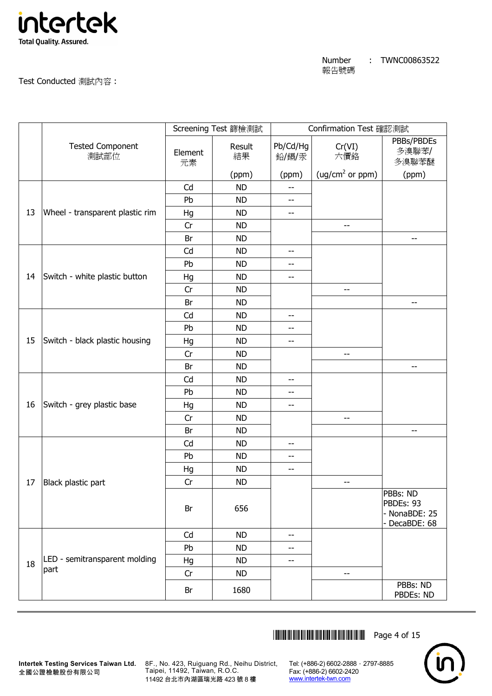

Test Conducted 測試內容 :

|    |                                 |               | Screening Test 篩檢測試 |                          | Confirmation Test 確認測試      |                                                         |
|----|---------------------------------|---------------|---------------------|--------------------------|-----------------------------|---------------------------------------------------------|
|    | <b>Tested Component</b><br>測試部位 | Element<br>元素 | Result<br>結果        | Pb/Cd/Hg<br>鉛/鎘/汞        | Cr(VI)<br>六價鉻               | PBBs/PBDEs<br>多溴聯苯/<br>多溴聯苯醚                            |
|    |                                 |               | (ppm)               | (ppm)                    | (ug/cm <sup>2</sup> or ppm) | (ppm)                                                   |
|    |                                 | Cd            | <b>ND</b>           | $-$                      |                             |                                                         |
|    |                                 | Pb            | <b>ND</b>           | --                       |                             |                                                         |
| 13 | Wheel - transparent plastic rim | Hg            | <b>ND</b>           | $-$                      |                             |                                                         |
|    |                                 | Cr            | <b>ND</b>           |                          | --                          |                                                         |
|    |                                 | Br            | <b>ND</b>           |                          |                             | --                                                      |
|    |                                 | Cd            | <b>ND</b>           | --                       |                             |                                                         |
|    |                                 | Pb            | <b>ND</b>           | --                       |                             |                                                         |
| 14 | Switch - white plastic button   | Hg            | <b>ND</b>           | $-$                      |                             |                                                         |
|    |                                 | Cr            | <b>ND</b>           |                          | --                          |                                                         |
|    |                                 | Br            | <b>ND</b>           |                          |                             | --                                                      |
|    |                                 | Cd            | <b>ND</b>           | --                       |                             |                                                         |
|    |                                 | Pb            | <b>ND</b>           | --                       |                             |                                                         |
| 15 | Switch - black plastic housing  | Hg            | <b>ND</b>           | --                       |                             |                                                         |
|    |                                 | Cr            | <b>ND</b>           |                          | --                          |                                                         |
|    |                                 | Br            | <b>ND</b>           |                          |                             | --                                                      |
|    |                                 | Cd            | <b>ND</b>           | $-$                      |                             |                                                         |
|    |                                 | Pb            | <b>ND</b>           | --                       |                             |                                                         |
| 16 | Switch - grey plastic base      | Hg            | <b>ND</b>           | --                       |                             |                                                         |
|    |                                 | Cr            | <b>ND</b>           |                          | --                          |                                                         |
|    |                                 | Br            | <b>ND</b>           |                          |                             | $-$                                                     |
|    |                                 | Cd            | <b>ND</b>           | $-$                      |                             |                                                         |
|    |                                 | Pb            | <b>ND</b>           | --                       |                             |                                                         |
|    |                                 | Hg            | <b>ND</b>           | --                       |                             |                                                         |
| 17 | Black plastic part              | Cr            | <b>ND</b>           |                          | --                          |                                                         |
|    |                                 | Br            | 656                 |                          |                             | PBBs: ND<br>PBDEs: 93<br>- NonaBDE: 25<br>- DecaBDE: 68 |
|    |                                 | Cd            | <b>ND</b>           | $\overline{\phantom{a}}$ |                             |                                                         |
|    |                                 | Pb            | <b>ND</b>           | --                       |                             |                                                         |
| 18 | LED - semitransparent molding   | Hg            | <b>ND</b>           | $-$                      |                             |                                                         |
|    | part                            | Cr            | <b>ND</b>           |                          | --                          |                                                         |
|    |                                 | Br            | 1680                |                          |                             | PBBs: ND<br>PBDEs: ND                                   |

\*THJ0863522\* Page 4 of 15



**Intertek Testing Services Taiwan Ltd.** 8F., No. 423, Ruiguang Rd., Neihu District, Taipei, 11492, Taiwan, R.O.C. 11492 台北市內湖區瑞光路 423 號 8 樓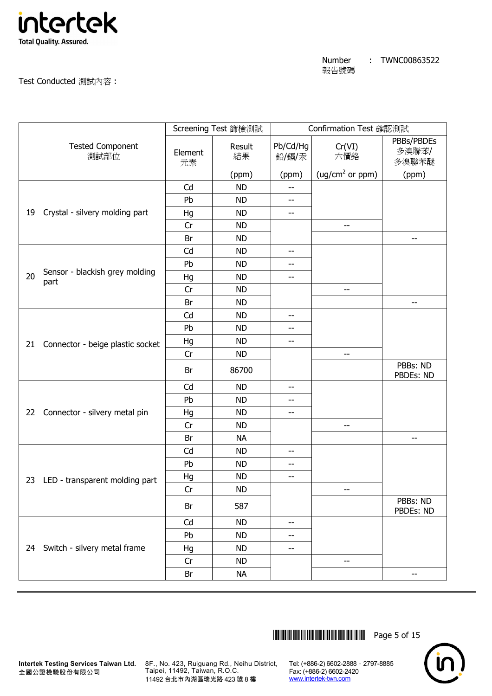

Test Conducted 測試內容 :

|    |                                        |               | Screening Test 篩檢測試 |                          | Confirmation Test 確認測試      |                              |
|----|----------------------------------------|---------------|---------------------|--------------------------|-----------------------------|------------------------------|
|    | <b>Tested Component</b><br>測試部位        | Element<br>元素 | Result<br>結果        | Pb/Cd/Hg<br>鉛/鎘/汞        | Cr(VI)<br>六價鉻               | PBBs/PBDEs<br>多溴聯苯/<br>多溴聯苯醚 |
|    |                                        |               | (ppm)               | (ppm)                    | (ug/cm <sup>2</sup> or ppm) | (ppm)                        |
|    |                                        | Cd            | <b>ND</b>           | $-$                      |                             |                              |
|    |                                        | Pb            | <b>ND</b>           | $-$                      |                             |                              |
| 19 | Crystal - silvery molding part         | Hg            | <b>ND</b>           | $-$                      |                             |                              |
|    |                                        | Cr            | <b>ND</b>           |                          | --                          |                              |
|    |                                        | Br            | <b>ND</b>           |                          |                             | --                           |
|    |                                        | Cd            | <b>ND</b>           | $-$                      |                             |                              |
|    |                                        | Pb            | <b>ND</b>           | --                       |                             |                              |
| 20 | Sensor - blackish grey molding<br>part | Hg            | <b>ND</b>           | $-$                      |                             |                              |
|    |                                        | Cr            | <b>ND</b>           |                          | $-$                         |                              |
|    |                                        | Br            | <b>ND</b>           |                          |                             | --                           |
|    |                                        | Cd            | <b>ND</b>           | $- -$                    |                             |                              |
|    |                                        | Pb            | <b>ND</b>           | $-$                      |                             |                              |
| 21 | Connector - beige plastic socket       | Hg            | <b>ND</b>           | $-\!$ –                  |                             |                              |
|    |                                        | Cr            | <b>ND</b>           |                          | --                          |                              |
|    |                                        | Br            | 86700               |                          |                             | PBBs: ND<br>PBDEs: ND        |
|    |                                        | Cd            | <b>ND</b>           | $\overline{\phantom{m}}$ |                             |                              |
|    |                                        | Pb            | <b>ND</b>           | --                       |                             |                              |
| 22 | Connector - silvery metal pin          | Hg            | <b>ND</b>           | $-$                      |                             |                              |
|    |                                        | Cr            | <b>ND</b>           |                          | --                          |                              |
|    |                                        | Br            | <b>NA</b>           |                          |                             | --                           |
|    |                                        | Cd            | <b>ND</b>           | $-$                      |                             |                              |
|    |                                        | Pb            | <b>ND</b>           | $- -$                    |                             |                              |
| 23 | LED - transparent molding part         | Hg            | <b>ND</b>           | $-$                      |                             |                              |
|    |                                        | Cr            | <b>ND</b>           |                          | --                          |                              |
|    |                                        | Br            | 587                 |                          |                             | PBBs: ND<br>PBDEs: ND        |
|    |                                        | Cd            | <b>ND</b>           | --                       |                             |                              |
|    |                                        | Pb            | <b>ND</b>           | --                       |                             |                              |
| 24 | Switch - silvery metal frame           | Hg            | <b>ND</b>           | $- -$                    |                             |                              |
|    |                                        | Cr            | <b>ND</b>           |                          | --                          |                              |
|    |                                        | Br            | <b>NA</b>           |                          |                             | --                           |



**Intertek Testing Services Taiwan Ltd.** 8F., No. 423, Ruiguang Rd., Neihu District, Taipei, 11492, Taiwan, R.O.C. 11492 台北市內湖區瑞光路 423 號 8 樓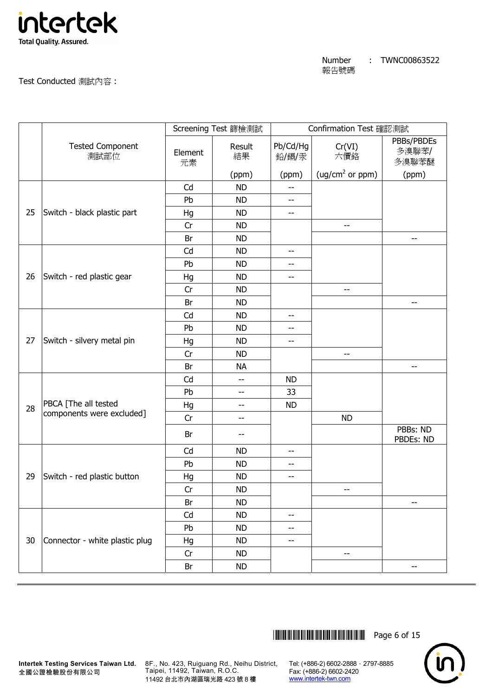

Test Conducted 測試內容 :

|    |                                 |               | Screening Test 篩檢測試 |                   | Confirmation Test 確認測試      |                              |
|----|---------------------------------|---------------|---------------------|-------------------|-----------------------------|------------------------------|
|    | <b>Tested Component</b><br>測試部位 | Element<br>元素 | Result<br>結果        | Pb/Cd/Hg<br>鉛/鎘/汞 | Cr(VI)<br>六價鉻               | PBBs/PBDEs<br>多溴聯苯/<br>多溴聯苯醚 |
|    |                                 |               | (ppm)               | (ppm)             | (ug/cm <sup>2</sup> or ppm) | (ppm)                        |
|    |                                 | Cd            | <b>ND</b>           | --                |                             |                              |
|    |                                 | Pb            | <b>ND</b>           | --                |                             |                              |
| 25 | Switch - black plastic part     | Hg            | <b>ND</b>           | $-$               |                             |                              |
|    |                                 | Cr            | <b>ND</b>           |                   | --                          |                              |
|    |                                 | Br            | <b>ND</b>           |                   |                             | --                           |
|    |                                 | Cd            | <b>ND</b>           | --                |                             |                              |
|    |                                 | Pb            | <b>ND</b>           | --                |                             |                              |
| 26 | Switch - red plastic gear       | Hg            | <b>ND</b>           | --                |                             |                              |
|    |                                 | Cr            | <b>ND</b>           |                   | --                          |                              |
|    |                                 | Br            | <b>ND</b>           |                   |                             | --                           |
|    |                                 | Cd            | <b>ND</b>           | $-$               |                             |                              |
|    |                                 | Pb            | <b>ND</b>           | --                |                             |                              |
| 27 | Switch - silvery metal pin      | Hg            | <b>ND</b>           | $-$               |                             |                              |
|    |                                 | Cr            | <b>ND</b>           |                   | --                          |                              |
|    |                                 | Br            | <b>NA</b>           |                   |                             | --                           |
|    |                                 | Cd            | $-$                 | <b>ND</b>         |                             |                              |
|    |                                 | Pb            | --                  | 33                |                             |                              |
| 28 | PBCA [The all tested            | Hg            | --                  | <b>ND</b>         |                             |                              |
|    | components were excluded]       | Cr            | $-$                 |                   | <b>ND</b>                   |                              |
|    |                                 | Br            | --                  |                   |                             | PBBs: ND<br>PBDEs: ND        |
|    |                                 | Cd            | <b>ND</b>           | $-$               |                             |                              |
|    |                                 | Pb            | <b>ND</b>           | --                |                             |                              |
| 29 | Switch - red plastic button     | Hg            | <b>ND</b>           | $-$               |                             |                              |
|    |                                 | Cr            | <b>ND</b>           |                   | --                          |                              |
|    |                                 | Br            | <b>ND</b>           |                   |                             | --                           |
|    |                                 | Cd            | <b>ND</b>           | $-\!$ –           |                             |                              |
|    |                                 | Pb            | <b>ND</b>           | --                |                             |                              |
| 30 | Connector - white plastic plug  | Hg            | <b>ND</b>           | $-$               |                             |                              |
|    |                                 | Cr            | <b>ND</b>           |                   | --                          |                              |
|    |                                 | Br            | <b>ND</b>           |                   |                             | --                           |



8F., No. 423, Ruiguang Rd., Neihu District, Taipei, 11492, Taiwan, R.O.C. 11492 台北市內湖區瑞光路 423 號 8 樓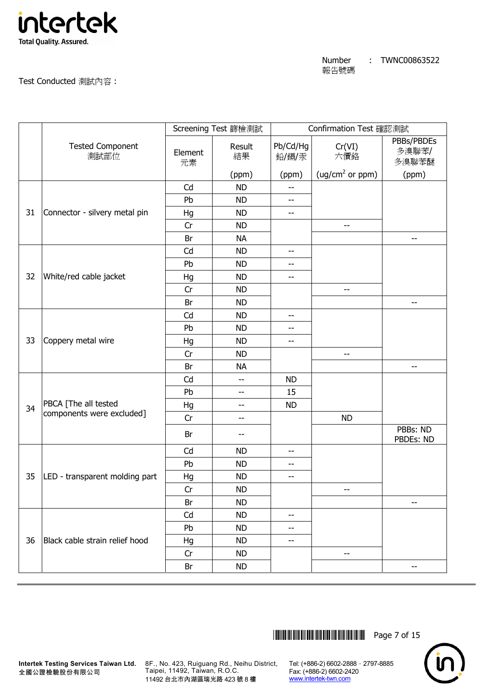

Test Conducted 測試內容 :

|    |                                 |               | Screening Test 篩檢測試 |                          | Confirmation Test 確認測試      |                              |
|----|---------------------------------|---------------|---------------------|--------------------------|-----------------------------|------------------------------|
|    | <b>Tested Component</b><br>測試部位 | Element<br>元素 | Result<br>結果        | Pb/Cd/Hg<br>鉛/鎘/汞        | Cr(VI)<br>六價鉻               | PBBs/PBDEs<br>多溴聯苯/<br>多溴聯苯醚 |
|    |                                 |               | (ppm)               | (ppm)                    | (ug/cm <sup>2</sup> or ppm) | (ppm)                        |
|    |                                 | Cd            | <b>ND</b>           | $-$                      |                             |                              |
|    |                                 | Pb            | <b>ND</b>           | --                       |                             |                              |
| 31 | Connector - silvery metal pin   | Hg            | <b>ND</b>           | $-$                      |                             |                              |
|    |                                 | Cr            | <b>ND</b>           |                          | --                          |                              |
|    |                                 | Br            | <b>NA</b>           |                          |                             | --                           |
|    |                                 | Cd            | <b>ND</b>           | $- -$                    |                             |                              |
|    |                                 | Pb            | <b>ND</b>           | --                       |                             |                              |
| 32 | White/red cable jacket          | Hg            | <b>ND</b>           | $- -$                    |                             |                              |
|    |                                 | Cr            | <b>ND</b>           |                          | --                          |                              |
|    |                                 | Br            | <b>ND</b>           |                          |                             | $- -$                        |
|    |                                 | Cd            | <b>ND</b>           | --                       |                             |                              |
|    |                                 | Pb            | <b>ND</b>           | --                       |                             |                              |
| 33 | Coppery metal wire              | Hg            | <b>ND</b>           | $\overline{\phantom{a}}$ |                             |                              |
|    |                                 | Cr            | <b>ND</b>           |                          | --                          |                              |
|    |                                 | Br            | <b>NA</b>           |                          |                             | --                           |
|    |                                 | Cd            | $-$                 | <b>ND</b>                |                             |                              |
|    |                                 | Pb            | --                  | 15                       |                             |                              |
| 34 | PBCA [The all tested            | Hg            | --                  | <b>ND</b>                |                             |                              |
|    | components were excluded]       | Cr            | $-$                 |                          | <b>ND</b>                   |                              |
|    |                                 | Br            |                     |                          |                             | PBBs: ND<br>PBDEs: ND        |
|    |                                 | Cd            | <b>ND</b>           | $-$                      |                             |                              |
|    |                                 | Pb            | <b>ND</b>           | $- -$                    |                             |                              |
| 35 | LED - transparent molding part  | Hg            | <b>ND</b>           | $-$                      |                             |                              |
|    |                                 | Cr            | <b>ND</b>           |                          | --                          |                              |
|    |                                 | Br            | <b>ND</b>           |                          |                             | --                           |
|    |                                 | Cd            | <b>ND</b>           | $-$                      |                             |                              |
|    |                                 | Pb            | <b>ND</b>           | $-$                      |                             |                              |
| 36 | Black cable strain relief hood  | Hg            | <b>ND</b>           | --                       |                             |                              |
|    |                                 | Cr            | <b>ND</b>           |                          | --                          |                              |
|    |                                 | Br            | <b>ND</b>           |                          |                             | --                           |

\*THJ0863522\* Page 7 of 15



**Intertek Testing Services Taiwan Ltd.** 8F., No. 423, Ruiguang Rd., Neihu District, Taipei, 11492, Taiwan, R.O.C. 11492 台北市內湖區瑞光路 423 號 8 樓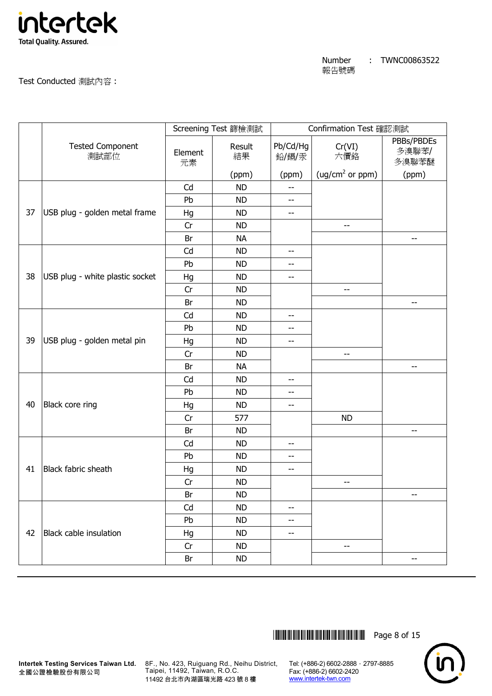

Test Conducted 測試內容 :

|    |                                 |               | Screening Test 篩檢測試 |                          | Confirmation Test 確認測試      |                              |
|----|---------------------------------|---------------|---------------------|--------------------------|-----------------------------|------------------------------|
|    | <b>Tested Component</b><br>測試部位 | Element<br>元素 | Result<br>結果        | Pb/Cd/Hg<br>鉛/鎘/汞        | Cr(VI)<br>六價鉻               | PBBs/PBDEs<br>多溴聯苯/<br>多溴聯苯醚 |
|    |                                 |               | (ppm)               | (ppm)                    | (ug/cm <sup>2</sup> or ppm) | (ppm)                        |
|    |                                 | Cd            | <b>ND</b>           | $-$                      |                             |                              |
|    |                                 | Pb            | <b>ND</b>           | --                       |                             |                              |
| 37 | USB plug - golden metal frame   | Hg            | <b>ND</b>           | $-$                      |                             |                              |
|    |                                 | Cr            | <b>ND</b>           |                          | --                          |                              |
|    |                                 | Br            | <b>NA</b>           |                          |                             | --                           |
|    |                                 | Cd            | <b>ND</b>           | $\overline{\phantom{m}}$ |                             |                              |
|    |                                 | Pb            | <b>ND</b>           | --                       |                             |                              |
| 38 | USB plug - white plastic socket | Hg            | <b>ND</b>           | --                       |                             |                              |
|    |                                 | Cr            | <b>ND</b>           |                          | $-$                         |                              |
|    |                                 | Br            | <b>ND</b>           |                          |                             | --                           |
|    |                                 | Cd            | <b>ND</b>           | --                       |                             |                              |
|    |                                 | Pb            | <b>ND</b>           | $-$                      |                             |                              |
| 39 | USB plug - golden metal pin     | Hg            | <b>ND</b>           | $\overline{\phantom{m}}$ |                             |                              |
|    |                                 | Cr            | <b>ND</b>           |                          | $-$                         |                              |
|    |                                 | Br            | <b>NA</b>           |                          |                             | $-$                          |
|    |                                 | Cd            | <b>ND</b>           | $-$                      |                             |                              |
|    |                                 | Pb            | <b>ND</b>           | --                       |                             |                              |
| 40 | Black core ring                 | Hg            | <b>ND</b>           | --                       |                             |                              |
|    |                                 | Cr            | 577                 |                          | <b>ND</b>                   |                              |
|    |                                 | Br            | <b>ND</b>           |                          |                             | --                           |
|    |                                 | Cd            | <b>ND</b>           | --                       |                             |                              |
|    |                                 | Pb            | <b>ND</b>           | $- -$                    |                             |                              |
| 41 | Black fabric sheath             | Hg            | <b>ND</b>           | --                       |                             |                              |
|    |                                 | Cr            | <b>ND</b>           |                          | --                          |                              |
|    |                                 | Br            | <b>ND</b>           |                          |                             | $\overline{\phantom{m}}$     |
|    |                                 | Cd            | <b>ND</b>           | --                       |                             |                              |
|    |                                 | Pb            | <b>ND</b>           | --                       |                             |                              |
| 42 | Black cable insulation          | Hg            | <b>ND</b>           | --                       |                             |                              |
|    |                                 | Cr            | <b>ND</b>           |                          | --                          |                              |
|    |                                 | Br            | <b>ND</b>           |                          |                             | $\overline{\phantom{m}}$     |

\*THJ0863522\* Page 8 of 15



8F., No. 423, Ruiguang Rd., Neihu District, Taipei, 11492, Taiwan, R.O.C. 11492 台北市內湖區瑞光路 423 號 8 樓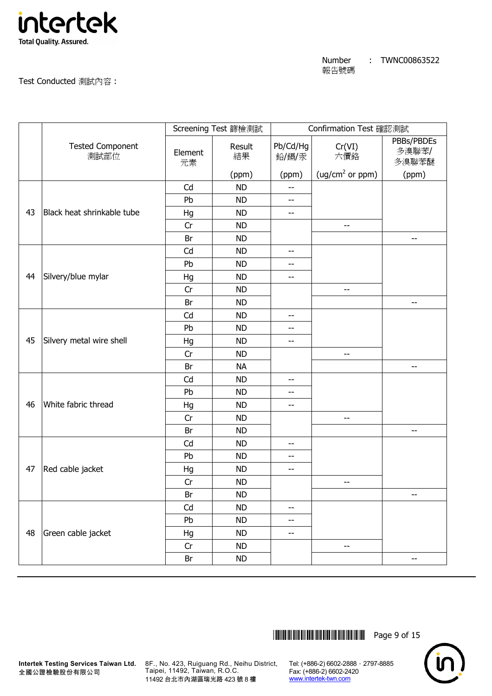

Test Conducted 測試內容 :

|    |                                 | Screening Test 篩檢測試 |              |                   | Confirmation Test 確認測試      |                              |  |
|----|---------------------------------|---------------------|--------------|-------------------|-----------------------------|------------------------------|--|
|    | <b>Tested Component</b><br>測試部位 | Element<br>元素       | Result<br>結果 | Pb/Cd/Hg<br>鉛/鎘/汞 | Cr(VI)<br>六價鉻               | PBBs/PBDEs<br>多溴聯苯/<br>多溴聯苯醚 |  |
|    |                                 |                     | (ppm)        | (ppm)             | (ug/cm <sup>2</sup> or ppm) | (ppm)                        |  |
|    |                                 | Cd                  | <b>ND</b>    | --                |                             |                              |  |
|    |                                 | Pb                  | <b>ND</b>    | --                |                             |                              |  |
| 43 | Black heat shrinkable tube      | Hg                  | <b>ND</b>    | --                |                             |                              |  |
|    |                                 | Cr                  | <b>ND</b>    |                   | --                          |                              |  |
|    |                                 | Br                  | <b>ND</b>    |                   |                             | --                           |  |
|    |                                 | Cd                  | <b>ND</b>    | --                |                             |                              |  |
|    |                                 | Pb                  | <b>ND</b>    | --                |                             |                              |  |
| 44 | Silvery/blue mylar              | Hg                  | <b>ND</b>    | --                |                             |                              |  |
|    |                                 | Cr                  | <b>ND</b>    |                   | $-$                         |                              |  |
|    |                                 | Br                  | <b>ND</b>    |                   |                             | --                           |  |
|    |                                 | Cd                  | <b>ND</b>    | --                |                             |                              |  |
|    |                                 | Pb                  | <b>ND</b>    | --                |                             |                              |  |
| 45 | Silvery metal wire shell        | Hg                  | <b>ND</b>    | --                |                             |                              |  |
|    |                                 | Cr                  | <b>ND</b>    |                   | --                          |                              |  |
|    |                                 | Br                  | <b>NA</b>    |                   |                             | $-$                          |  |
|    |                                 | Cd                  | <b>ND</b>    | $-$               |                             |                              |  |
|    |                                 | Pb                  | <b>ND</b>    | --                |                             |                              |  |
| 46 | White fabric thread             | Hg                  | <b>ND</b>    | --                |                             |                              |  |
|    |                                 | Cr                  | <b>ND</b>    |                   | --                          |                              |  |
|    |                                 | Br                  | <b>ND</b>    |                   |                             | $\overline{\phantom{a}}$     |  |
|    |                                 | Cd                  | <b>ND</b>    | --                |                             |                              |  |
|    |                                 | Pb                  | <b>ND</b>    | $-$               |                             |                              |  |
| 47 | Red cable jacket                | Hg                  | <b>ND</b>    | --                |                             |                              |  |
|    |                                 | Cr                  | <b>ND</b>    |                   | $\overline{\phantom{m}}$    |                              |  |
|    |                                 | Br                  | ND           |                   |                             | $-\!$                        |  |
|    |                                 | Cd                  | <b>ND</b>    | --                |                             |                              |  |
|    |                                 | Pb                  | <b>ND</b>    | --                |                             |                              |  |
| 48 | Green cable jacket              | Hg                  | <b>ND</b>    | --                |                             |                              |  |
|    |                                 | Cr                  | <b>ND</b>    |                   | --                          |                              |  |
|    |                                 | Br                  | <b>ND</b>    |                   |                             | --                           |  |

\*THJ0863522\* Page 9 of 15

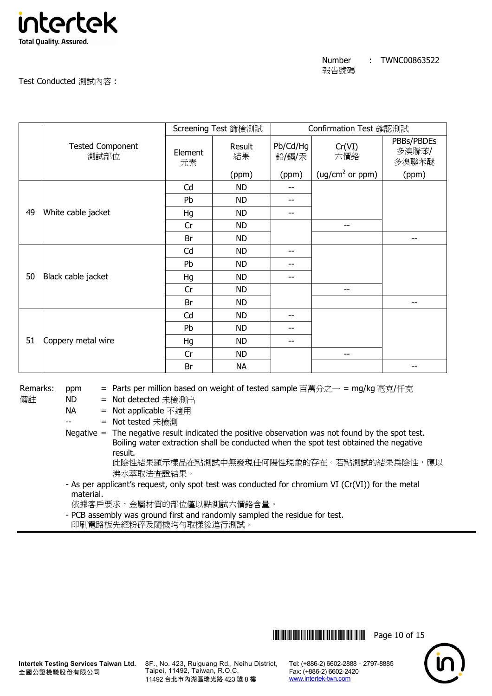

Test Conducted 測試內容 :

|    |                                 |               | Screening Test 篩檢測試 | Confirmation Test 確認測試 |                             |                              |
|----|---------------------------------|---------------|---------------------|------------------------|-----------------------------|------------------------------|
|    | <b>Tested Component</b><br>測試部位 | Element<br>元素 | Result<br>結果        | Pb/Cd/Hg<br>鉛/鎘/汞      | Cr(VI)<br>六價鉻               | PBBs/PBDEs<br>多溴聯苯/<br>多溴聯苯醚 |
|    |                                 |               | (ppm)               | (ppm)                  | (ug/cm <sup>2</sup> or ppm) | (ppm)                        |
|    |                                 | Cd            | <b>ND</b>           | --                     |                             |                              |
|    |                                 | Pb            | <b>ND</b>           | --                     |                             |                              |
| 49 | White cable jacket              | Hg            | <b>ND</b>           | --                     |                             |                              |
|    |                                 | Cr            | <b>ND</b>           |                        | --                          |                              |
|    |                                 | Br            | <b>ND</b>           |                        |                             |                              |
|    |                                 | Cd            | <b>ND</b>           | --                     |                             |                              |
|    |                                 | Pb            | <b>ND</b>           | --                     |                             |                              |
| 50 | Black cable jacket              | Hg            | <b>ND</b>           | $-$                    |                             |                              |
|    |                                 | Cr            | <b>ND</b>           |                        | --                          |                              |
|    |                                 | Br            | <b>ND</b>           |                        |                             | --                           |
|    |                                 | Cd            | <b>ND</b>           | --                     |                             |                              |
| 51 |                                 | Pb            | <b>ND</b>           | --                     |                             |                              |
|    | Coppery metal wire              | Hg            | <b>ND</b>           | $- -$                  |                             |                              |
|    |                                 | Cr            | <b>ND</b>           |                        | --                          |                              |
|    |                                 | Br            | <b>NA</b>           |                        |                             |                              |

Remarks: ppm = Parts per million based on weight of tested sample 百萬分之一 = mg/kg 毫克/仟克

備註 ND = Not detected 未檢測出

NA = Not applicable 不適用

-- = Not tested 未檢測

Negative  $=$  The negative result indicated the positive observation was not found by the spot test. Boiling water extraction shall be conducted when the spot test obtained the negative result.

此陰性結果顯示樣品在點測試中無發現任何陽性現象的存在。若點測試的結果為陰性,應以 沸水萃取法查證結果。

 - As per applicant's request, only spot test was conducted for chromium VI (Cr(VI)) for the metal material.

依據客戶要求,金屬材質的部位僅以點測試六價鉻含量。

 - PCB assembly was ground first and randomly sampled the residue for test. 印刷電路板先經粉碎及隨機均勻取樣後進行測試。

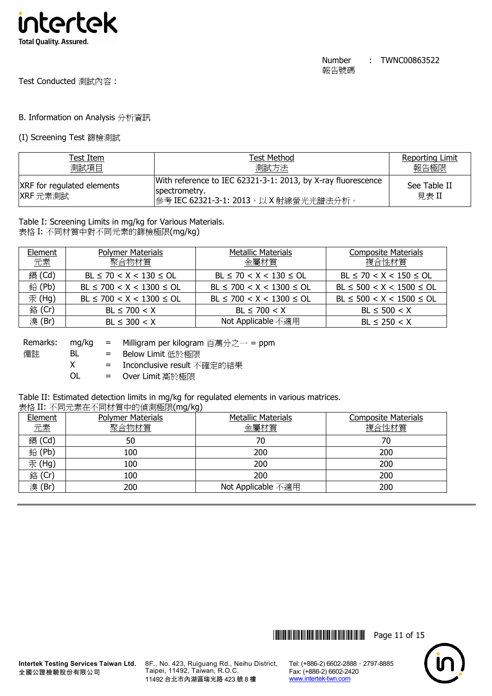

Test Conducted 測試內容 :

## B. Information on Analysis 分析資訊

#### (I) Screening Test 篩檢測試

| Test Item                                     | Test Method                                                                                                             | <b>Reporting Limit</b> |
|-----------------------------------------------|-------------------------------------------------------------------------------------------------------------------------|------------------------|
| 測試項目                                          | 測試方法                                                                                                                    | 報告極限                   |
| <b>XRF</b> for regulated elements<br>XRF 元素測試 | With reference to IEC 62321-3-1: 2013, by X-ray fluorescence<br>spectrometry.<br> 參考 IEC 62321-3-1: 2013,以 X 射線螢光光譜法分析。 | See Table II<br>見表 II  |

## Table I: Screening Limits in mg/kg for Various Materials.

表格 I: 不同材質中對不同元素的篩檢極限(mg/kg)

| Element<br>元素 | <b>Polymer Materials</b><br>聚合物材質 | <b>Metallic Materials</b><br>金屬材質 | <b>Composite Materials</b><br>複合性材質 |
|---------------|-----------------------------------|-----------------------------------|-------------------------------------|
|               |                                   |                                   |                                     |
| 鎘 (Cd)        | $BL \le 70 < X < 130 \le OL$      | $BL \le 70 < X < 130 \le OL$      | $BL \le 70 < X < 150 \le OL$        |
| 鉛(Pb)         | $BL \le 700 < X < 1300 \le OL$    | $BL \le 700 < X < 1300 \le OL$    | $BL \le 500 < X < 1500 \le OL$      |
| 汞 (Hg)        | $BL \le 700 < X < 1300 \le OL$    | $BL \le 700 < X < 1300 \le OL$    | $BL \le 500 < X < 1500 \le OL$      |
| 銘 (Cr)        | $BL \le 700 < X$                  | $BL \le 700 < X$                  | $BL \le 500 < X$                    |
| 溴(Br)         | $BL \leq 300 < X$                 | Not Applicable 不適用                | $BL \le 250 < X$                    |

| Remarks: | ma/ka | = Milligram per kilogram 百萬分之一 = ppm |
|----------|-------|--------------------------------------|
| 備註       | BL.   | = Below Limit 低於極限                   |
|          | X.    | = Inconclusive result 不確定的結果         |
|          | ΩL    | = Over Limit 高於極限                    |

# Table II: Estimated detection limits in mg/kg for regulated elements in various matrices.

#### 表格 II: 不同元素在不同材質中的偵測極限(mg/kg)

| Element | <b>Polymer Materials</b> | <b>Metallic Materials</b> | <b>Composite Materials</b> |
|---------|--------------------------|---------------------------|----------------------------|
| 元素      | 聚合物材質                    | 金屬材質                      | 複合性材質                      |
| 鎘 (Cd)  | 50                       | 70                        | 70                         |
| 鉛(Pb)   | 100                      | 200                       | 200                        |
| 汞(Hg)   | 100                      | 200                       | 200                        |
| 銘 (Cr)  | 100                      | 200                       | 200                        |
| 溴(Br)   | 200                      | Not Applicable 不適用        | 200                        |



8F., No. 423, Ruiguang Rd., Neihu District, Taipei, 11492, Taiwan, R.O.C. 11492 台北市內湖區瑞光路 423 號 8 樓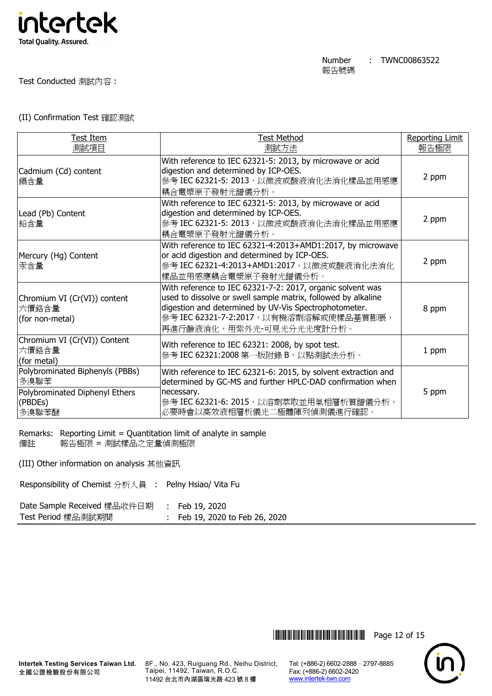

#### Test Conducted 測試內容 :

#### (II) Confirmation Test 確認測試

| Test Item                                                                                     | <b>Test Method</b>                                                                                                                                                                                                                                         | <b>Reporting Limit</b> |
|-----------------------------------------------------------------------------------------------|------------------------------------------------------------------------------------------------------------------------------------------------------------------------------------------------------------------------------------------------------------|------------------------|
| 測試項目                                                                                          | 測試方法                                                                                                                                                                                                                                                       | 報告極限                   |
| Cadmium (Cd) content<br>鎘含量                                                                   | With reference to IEC 62321-5: 2013, by microwave or acid<br>digestion and determined by ICP-OES.<br>參考 IEC 62321-5: 2013, 以微波或酸液消化法消化樣品並用感應<br>耦合電漿原子發射光譜儀分析。                                                                                             | 2 ppm                  |
| Lead (Pb) Content<br>鉛含量                                                                      | With reference to IEC 62321-5: 2013, by microwave or acid<br>digestion and determined by ICP-OES.<br>參考 IEC 62321-5: 2013, 以微波或酸液消化法消化樣品並用感應<br>耦合電漿原子發射光譜儀分析。                                                                                             | 2 ppm                  |
| Mercury (Hg) Content<br>汞含量                                                                   | With reference to IEC 62321-4:2013+AMD1:2017, by microwave<br>or acid digestion and determined by ICP-OES.<br>參考 IEC 62321-4:2013+AMD1:2017, 以微波或酸液消化法消化<br>樣品並用感應耦合電漿原子發射光譜儀分析。                                                                           | 2 ppm                  |
| Chromium VI (Cr(VI)) content<br>六價鉻含量<br>(for non-metal)                                      | With reference to IEC 62321-7-2: 2017, organic solvent was<br>used to dissolve or swell sample matrix, followed by alkaline<br>digestion and determined by UV-Vis Spectrophotometer.<br>參考 IEC 62321-7-2:2017,以有機溶劑溶解或使樣品基質膨脹,<br>再進行鹼液消化,用紫外光-可見光分光光度計分析。 | 8 ppm                  |
| Chromium VI (Cr(VI)) Content<br>六價鉻含量<br>(for metal)                                          | With reference to IEC 62321: 2008, by spot test.<br>參考 IEC 62321:2008 第一版附錄 B,以點測試法分析。                                                                                                                                                                     | 1 ppm                  |
| Polybrominated Biphenyls (PBBs)<br>多溴聯苯<br>Polybrominated Diphenyl Ethers<br>(PBDEs)<br>多溴聯苯醚 | With reference to IEC 62321-6: 2015, by solvent extraction and<br>determined by GC-MS and further HPLC-DAD confirmation when<br>necessary.<br>參考 IEC 62321-6: 2015, 以溶劑萃取並用氣相層析質譜儀分析,<br>必要時會以高效液相層析儀光二極體陣列偵測儀進行確認。                                        | 5 ppm                  |

Remarks: Reporting Limit = Quantitation limit of analyte in sample 備註 報告極限 = 測試樣品之定量偵測極限

(III) Other information on analysis 其他資訊

Responsibility of Chemist 分析人員 : Pelny Hsiao/ Vita Fu

| Date Sample Received 樣品收件日期 | : Feb 19, 2020               |
|-----------------------------|------------------------------|
| Test Period 樣品測試期間          | Feb 19, 2020 to Feb 26, 2020 |

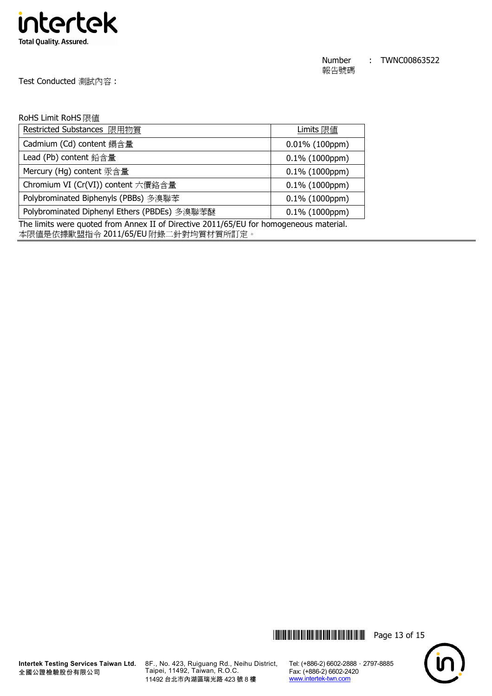

Test Conducted 測試內容 :

#### RoHS Limit RoHS 限值

| Restricted Substances 限用物質                                                             | Limits 限值         |  |
|----------------------------------------------------------------------------------------|-------------------|--|
| Cadmium (Cd) content 鎘含量                                                               | $0.01\%$ (100ppm) |  |
| Lead (Pb) content 鉛含量                                                                  | $0.1\%$ (1000ppm) |  |
| Mercury (Hg) content 汞含量                                                               | $0.1\%$ (1000ppm) |  |
| Chromium VI (Cr(VI)) content 六價鉻含量                                                     | $0.1\%$ (1000ppm) |  |
| Polybrominated Biphenyls (PBBs) 多溴聯苯                                                   | $0.1\%$ (1000ppm) |  |
| Polybrominated Diphenyl Ethers (PBDEs) 多溴聯苯醚                                           | $0.1\%$ (1000ppm) |  |
| The limits were quoted from Annex II of Directive 2011/65/EU for homogeneous material. |                   |  |

本限值是依據歐盟指令 2011/65/EU 附錄二針對均質材質所訂定。





8F., No. 423, Ruiguang Rd., Neihu District, Taipei, 11492, Taiwan, R.O.C. 11492 台北市內湖區瑞光路 423 號 8 樓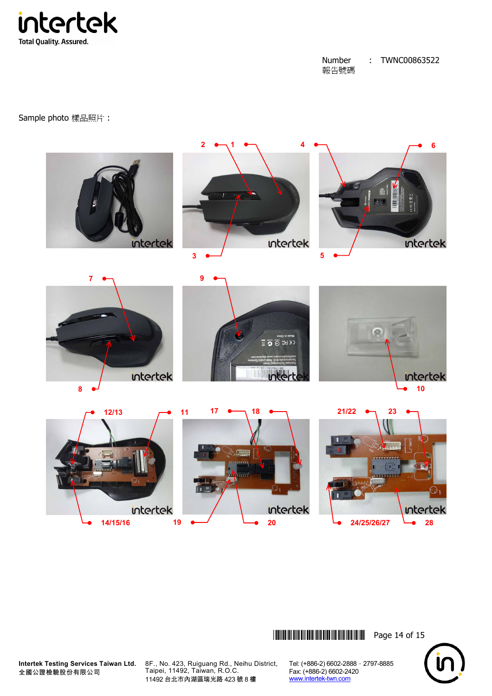

Sample photo 樣品照片 :



\*THJ0863522\* Page 14 of 15



**Intertek Testing Services Taiwan Ltd.** 全國公證檢驗股份有限公司

8F., No. 423, Ruiguang Rd., Neihu District, Taipei, 11492, Taiwan, R.O.C. 11492 台北市內湖區瑞光路 423 號 8 樓